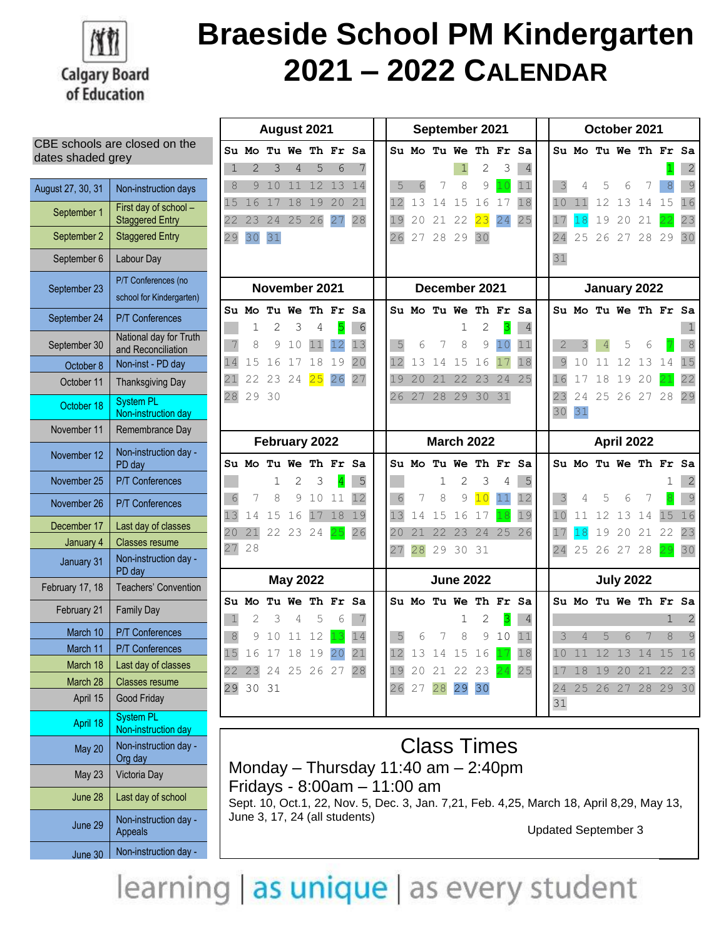

CBE schools are closed on the

## **Braeside School PM Kindergarten 2021 – 2022 CALENDAR**

| dates shaded grey |                                                 |  |  |  |  |  |
|-------------------|-------------------------------------------------|--|--|--|--|--|
| August 27, 30, 31 | Non-instruction days                            |  |  |  |  |  |
| September 1       | First day of school -<br><b>Staggered Entry</b> |  |  |  |  |  |
| September 2       | <b>Staggered Entry</b>                          |  |  |  |  |  |
| September 6       | Labour Day                                      |  |  |  |  |  |
| September 23      | P/T Conferences (no<br>school for Kindergarten) |  |  |  |  |  |
| September 24      | <b>P/T Conferences</b>                          |  |  |  |  |  |
| September 30      | National day for Truth<br>and Reconciliation    |  |  |  |  |  |
| October 8         | Non-inst - PD day                               |  |  |  |  |  |
| October 11        | <b>Thanksgiving Day</b>                         |  |  |  |  |  |
| October 18        | <b>System PL</b><br>Non-instruction day         |  |  |  |  |  |
| November 11       | Remembrance Day                                 |  |  |  |  |  |
| November 12       | Non-instruction day -<br>PD day                 |  |  |  |  |  |
| November 25       | <b>P/T Conferences</b>                          |  |  |  |  |  |
| November 26       | <b>P/T Conferences</b>                          |  |  |  |  |  |
| December 17       | Last day of classes                             |  |  |  |  |  |
| January 4         | <b>Classes resume</b>                           |  |  |  |  |  |
| January 31        | Non-instruction day -<br>PD day                 |  |  |  |  |  |
| February 17, 18   | Teachers' Convention                            |  |  |  |  |  |
| February 21       | <b>Family Day</b>                               |  |  |  |  |  |
| March 10          | <b>P/T Conferences</b>                          |  |  |  |  |  |
| March 11          | <b>P/T Conferences</b>                          |  |  |  |  |  |
| March 18          | Last day of classes                             |  |  |  |  |  |
| March 28          | Classes resume                                  |  |  |  |  |  |
| April 15          | <b>Good Friday</b>                              |  |  |  |  |  |
| April 18          | <b>System PL</b><br>Non-instruction day         |  |  |  |  |  |
| May 20            | Non-instruction day -<br>Org day                |  |  |  |  |  |
| <b>May 23</b>     | Victoria Day                                    |  |  |  |  |  |
| June 28           | Last day of school                              |  |  |  |  |  |
| June 29           | Non-instruction day -<br><b>Appeals</b>         |  |  |  |  |  |

June 30 Non-instruction day

| August 2021   |                   |                |                 |    |          |    | September 2021 |             |    |                   |                |                      |                | October 2021 |                |    |                      |    |    |                |
|---------------|-------------------|----------------|-----------------|----|----------|----|----------------|-------------|----|-------------------|----------------|----------------------|----------------|--------------|----------------|----|----------------------|----|----|----------------|
|               | Su Mo             |                | Tu We Th Fr Sa  |    |          |    |                |             |    |                   |                | Su Mo Tu We Th Fr    | Sa             |              |                |    | Su Mo Tu We Th Fr Sa |    |    |                |
| 1             | $\overline{2}$    | 3              | 4               | 5  | 6        | 7  |                |             |    | 1                 | 2              | 3                    | $\overline{4}$ |              |                |    |                      |    |    | 2              |
| 8             | 9                 | 10             | 11              | 12 | 13       | 14 | 5              | 6           | 7  | 8                 | 9              | 10                   | 11             | 3            | 4              | 5  | 6                    | 7  | 8  | $\overline{9}$ |
| 15            | 16                | 17             | 18              | 19 | 20       | 21 | 12             | 13          | 14 | 15                | 16             | 17                   | 18             | 10           | 11             | 12 | 13                   | 14 | 15 | 16             |
| 22            | 23                | 24             | 25              | 26 | 27       | 28 | 19             | 20          | 21 | 22                | 23             | 24                   | 25             | 17           | 18             | 19 | 20                   | 21 |    | 23             |
| 29            | 30                | 31             |                 |    |          |    | 26             | 27          | 28 | 29                | 30             |                      |                | 24           | 25             | 26 | 27                   | 28 | 29 | 30             |
|               |                   |                |                 |    |          |    |                |             |    |                   |                |                      |                | 31           |                |    |                      |    |    |                |
|               |                   |                | November 2021   |    |          |    | December 2021  |             |    |                   | January 2022   |                      |                |              |                |    |                      |    |    |                |
|               | Su Mo Tu We Th Fr |                |                 |    |          | Sa |                |             |    |                   |                | Su Mo Tu We Th Fr Sa |                |              |                |    | Su Mo Tu We Th Fr Sa |    |    |                |
|               | 1                 | $\overline{2}$ | 3               | 4  | 5        | 6  |                |             |    | $\mathbf 1$       | $\overline{c}$ | 3                    | 4              |              |                |    |                      |    |    | 1              |
| 7             | 8                 | 9              | 10              | 11 | 12       | 13 | 5              | 6           | 7  | 8                 | 9              | 10                   | 11             | 2            | 3              | 4  | 5                    | 6  |    | 8              |
| 14            | 15                | 16             | 17              | 18 | 19       | 20 | 12             | 13          | 14 | 15                | 16             | 17                   | 18             | 9            | 10             | 11 | 12                   | 13 | 14 | 15             |
| 21            | 22                | 23             | 24              | 25 | 26       | 27 | 19             | 20          | 21 | 22                | 23             | 24                   | 25             | 16           | $17$           | 18 | 19                   | 20 |    | 22             |
| 28            | 29                | 30             |                 |    |          |    | 26             | 27          | 28 | 29                | 30             | 31                   |                | 23           | 24             |    | 25 26 27             |    | 28 | 29             |
|               |                   |                |                 |    |          |    |                |             |    |                   |                |                      |                | 30           | 31             |    |                      |    |    |                |
| February 2022 |                   |                |                 |    |          |    |                |             |    | <b>March 2022</b> |                |                      |                |              |                |    | April 2022           |    |    |                |
|               |                   |                |                 |    |          |    |                |             |    |                   |                |                      |                |              |                |    |                      |    |    |                |
|               | Su Mo Tu We       |                |                 |    | Th Fr Sa |    |                | Su Mo       |    | Tu We             | Th Fr          |                      | Sa             |              |                |    | Su Mo Tu We Th Fr    |    |    | Sa             |
|               |                   | 1              | 2               | 3  | 4        | 5  |                |             | 1  | $\overline{2}$    | 3              | 4                    | 5              |              |                |    |                      |    | 1  | 2              |
| 6             | 7                 | 8              | 9               | 10 | 11       | 12 | 6              | 7           | 8  | 9                 | 10             | 11                   | 12             | 3            | 4              | 5  | 6                    | 7  |    | 9              |
| 13            | 14                | 15             | 16              | 17 | 18       | 19 | 13             | 14          | 15 | 16                | 17             | 18                   | 19             | 10           | 11             | 12 | 13                   | 14 | 15 | 16             |
| 20            | 21                | 22             | 23              | 24 | 25       | 26 | 20             | 21          | 22 | 23                | 24             | 25                   | 26             | 17           | 18             | 19 | 20                   | 21 | 22 | 23             |
|               | 28                |                |                 |    |          |    | 27             | 28          | 29 | 30                | 31             |                      |                | 24           | 25             |    | 26 27                | 28 | 29 | 30             |
| 27            |                   |                | <b>May 2022</b> |    |          |    |                |             |    | <b>June 2022</b>  |                |                      |                |              |                |    | <b>July 2022</b>     |    |    |                |
|               | Su Mo             |                | Tu We           |    | Th Fr    | Sa |                | Su Mo Tu We |    |                   |                | Th Fr Sa             |                |              |                |    | Su Mo Tu We Th Fr    |    |    | Sa             |
| 1             | 2                 | 3              | 4               | 5  | 6        | 7  |                |             |    | 1                 | 2              | 3                    | 4              |              |                |    |                      |    | 1  | 2              |
| $\,8\,$       | 9                 | 10             | 11              | 12 | 13       | 14 | 5              | 6           | 7  | 8                 | 9              | 10                   | 11             | 3            | $\overline{4}$ | 5  | 6                    | 7  | 8  | 9              |
| 15            | 16                | 17             | 18              | 19 | 20       | 21 | 12             | 13          | 14 | 15                | 16             |                      | 18             | 10           | 11             | 12 | 13                   | 14 | 15 | 16             |
|               | 23                | 24             | 25              | 26 | 27       | 28 | 19             | 20          | 21 | 22                | 23             | 24                   | 25             | 17           | 18             | 19 | 20                   | 21 | 22 | 23             |
| 22<br>29      | 30                | 31             |                 |    |          |    | 26             | 27          | 28 | 29                | 30             |                      |                | 24           | 25             | 26 | 27                   | 28 | 29 | 30             |
|               |                   |                |                 |    |          |    |                |             |    |                   |                |                      |                | 31           |                |    |                      |    |    |                |

Class Times Monday – Thursday 11:40 am – 2:40pm Fridays - 8:00am – 11:00 am Sept. 10, Oct.1, 22, Nov. 5, Dec. 3, Jan. 7,21, Feb. 4,25, March 18, April 8,29, May 13, June 3, 17, 24 (all students)

Updated September 3

learning as unique as every student